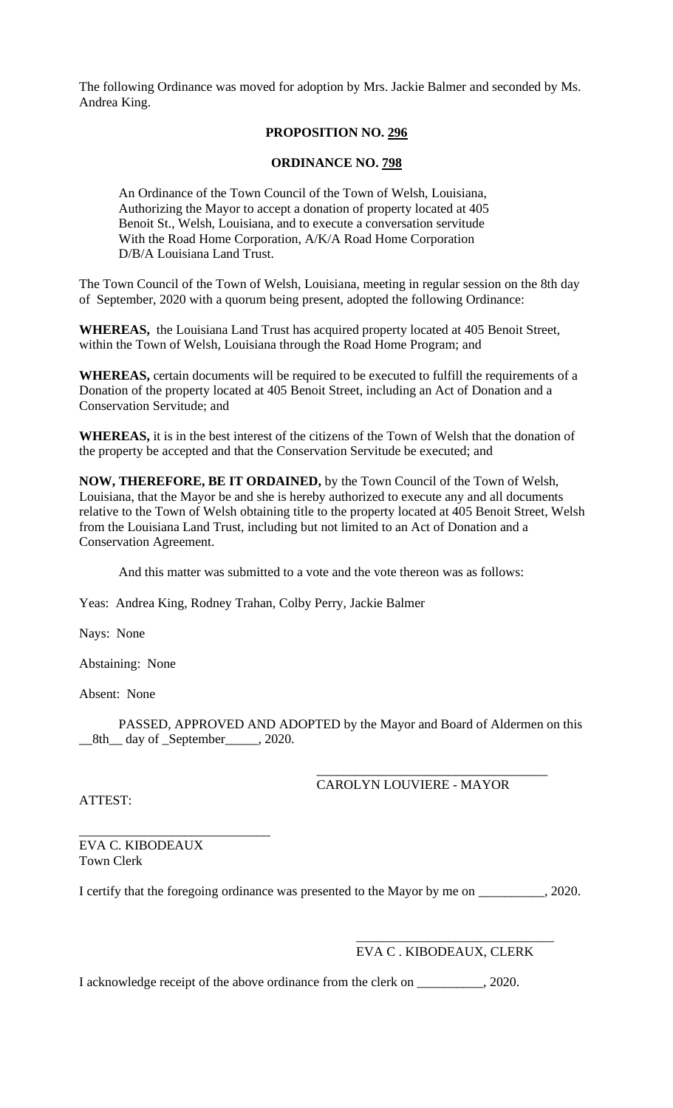The following Ordinance was moved for adoption by Mrs. Jackie Balmer and seconded by Ms. Andrea King.

## **PROPOSITION NO. 296**

## **ORDINANCE NO. 798**

An Ordinance of the Town Council of the Town of Welsh, Louisiana, Authorizing the Mayor to accept a donation of property located at 405 Benoit St., Welsh, Louisiana, and to execute a conversation servitude With the Road Home Corporation, A/K/A Road Home Corporation D/B/A Louisiana Land Trust.

The Town Council of the Town of Welsh, Louisiana, meeting in regular session on the 8th day of September, 2020 with a quorum being present, adopted the following Ordinance:

**WHEREAS,** the Louisiana Land Trust has acquired property located at 405 Benoit Street, within the Town of Welsh, Louisiana through the Road Home Program; and

**WHEREAS,** certain documents will be required to be executed to fulfill the requirements of a Donation of the property located at 405 Benoit Street, including an Act of Donation and a Conservation Servitude; and

**WHEREAS,** it is in the best interest of the citizens of the Town of Welsh that the donation of the property be accepted and that the Conservation Servitude be executed; and

**NOW, THEREFORE, BE IT ORDAINED,** by the Town Council of the Town of Welsh, Louisiana, that the Mayor be and she is hereby authorized to execute any and all documents relative to the Town of Welsh obtaining title to the property located at 405 Benoit Street, Welsh from the Louisiana Land Trust, including but not limited to an Act of Donation and a Conservation Agreement.

And this matter was submitted to a vote and the vote thereon was as follows:

Yeas: Andrea King, Rodney Trahan, Colby Perry, Jackie Balmer

Nays: None

Abstaining: None

Absent: None

PASSED, APPROVED AND ADOPTED by the Mayor and Board of Aldermen on this \_\_8th\_\_ day of \_September\_\_\_\_\_, 2020.

> \_\_\_\_\_\_\_\_\_\_\_\_\_\_\_\_\_\_\_\_\_\_\_\_\_\_\_\_\_\_\_\_\_\_\_ CAROLYN LOUVIERE - MAYOR

ATTEST:

\_\_\_\_\_\_\_\_\_\_\_\_\_\_\_\_\_\_\_\_\_\_\_\_\_\_\_\_\_ EVA C. KIBODEAUX Town Clerk

I certify that the foregoing ordinance was presented to the Mayor by me on \_\_\_\_\_\_\_\_\_\_, 2020.

## EVA C . KIBODEAUX, CLERK

\_\_\_\_\_\_\_\_\_\_\_\_\_\_\_\_\_\_\_\_\_\_\_\_\_\_\_\_\_\_

I acknowledge receipt of the above ordinance from the clerk on \_\_\_\_\_\_\_\_\_\_, 2020.